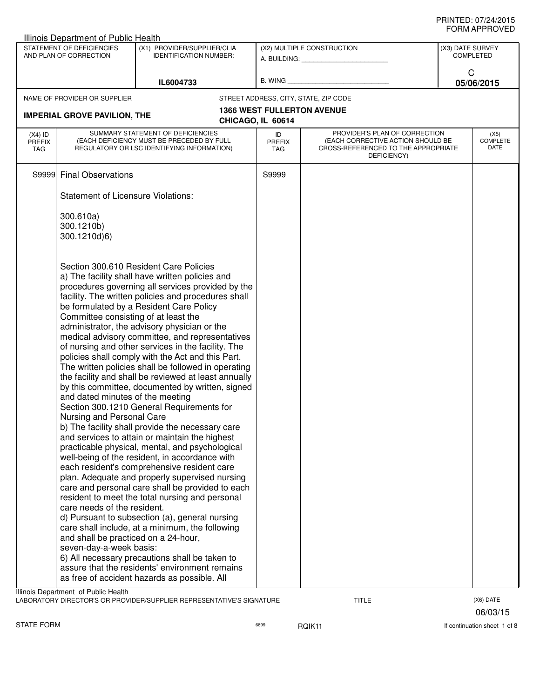|                                                                                                                     | Illinois Department of Public Health                                                                                                                                                                    |                                                                                                                                                                                                                                                                                                                                                                                                                                                                                                                                                                                                                                                                                                                                                                                                                                                                                                                                                                                                                                                                                                                                                                                                                                                                                                                                                            |                      |                                                                                                                          |                 |                                 |
|---------------------------------------------------------------------------------------------------------------------|---------------------------------------------------------------------------------------------------------------------------------------------------------------------------------------------------------|------------------------------------------------------------------------------------------------------------------------------------------------------------------------------------------------------------------------------------------------------------------------------------------------------------------------------------------------------------------------------------------------------------------------------------------------------------------------------------------------------------------------------------------------------------------------------------------------------------------------------------------------------------------------------------------------------------------------------------------------------------------------------------------------------------------------------------------------------------------------------------------------------------------------------------------------------------------------------------------------------------------------------------------------------------------------------------------------------------------------------------------------------------------------------------------------------------------------------------------------------------------------------------------------------------------------------------------------------------|----------------------|--------------------------------------------------------------------------------------------------------------------------|-----------------|---------------------------------|
| STATEMENT OF DEFICIENCIES<br>(X1) PROVIDER/SUPPLIER/CLIA<br>AND PLAN OF CORRECTION<br><b>IDENTIFICATION NUMBER:</b> |                                                                                                                                                                                                         | (X2) MULTIPLE CONSTRUCTION<br>A. BUILDING: A. BUILDING:                                                                                                                                                                                                                                                                                                                                                                                                                                                                                                                                                                                                                                                                                                                                                                                                                                                                                                                                                                                                                                                                                                                                                                                                                                                                                                    |                      | (X3) DATE SURVEY<br><b>COMPLETED</b>                                                                                     |                 |                                 |
|                                                                                                                     |                                                                                                                                                                                                         | IL6004733                                                                                                                                                                                                                                                                                                                                                                                                                                                                                                                                                                                                                                                                                                                                                                                                                                                                                                                                                                                                                                                                                                                                                                                                                                                                                                                                                  | B. WING              |                                                                                                                          | C<br>05/06/2015 |                                 |
|                                                                                                                     | NAME OF PROVIDER OR SUPPLIER                                                                                                                                                                            |                                                                                                                                                                                                                                                                                                                                                                                                                                                                                                                                                                                                                                                                                                                                                                                                                                                                                                                                                                                                                                                                                                                                                                                                                                                                                                                                                            |                      | STREET ADDRESS, CITY, STATE, ZIP CODE                                                                                    |                 |                                 |
|                                                                                                                     |                                                                                                                                                                                                         |                                                                                                                                                                                                                                                                                                                                                                                                                                                                                                                                                                                                                                                                                                                                                                                                                                                                                                                                                                                                                                                                                                                                                                                                                                                                                                                                                            |                      | <b>1366 WEST FULLERTON AVENUE</b>                                                                                        |                 |                                 |
|                                                                                                                     | <b>IMPERIAL GROVE PAVILION, THE</b>                                                                                                                                                                     |                                                                                                                                                                                                                                                                                                                                                                                                                                                                                                                                                                                                                                                                                                                                                                                                                                                                                                                                                                                                                                                                                                                                                                                                                                                                                                                                                            | CHICAGO, IL 60614    |                                                                                                                          |                 |                                 |
| $(X4)$ ID<br><b>PREFIX</b><br>TAG                                                                                   |                                                                                                                                                                                                         | SUMMARY STATEMENT OF DEFICIENCIES<br>(EACH DEFICIENCY MUST BE PRECEDED BY FULL<br>REGULATORY OR LSC IDENTIFYING INFORMATION)                                                                                                                                                                                                                                                                                                                                                                                                                                                                                                                                                                                                                                                                                                                                                                                                                                                                                                                                                                                                                                                                                                                                                                                                                               | ID<br>PREFIX<br>TAG. | PROVIDER'S PLAN OF CORRECTION<br>(EACH CORRECTIVE ACTION SHOULD BE<br>CROSS-REFERENCED TO THE APPROPRIATE<br>DEFICIENCY) |                 | (X5)<br><b>COMPLETE</b><br>DATE |
| S9999                                                                                                               | <b>Final Observations</b>                                                                                                                                                                               |                                                                                                                                                                                                                                                                                                                                                                                                                                                                                                                                                                                                                                                                                                                                                                                                                                                                                                                                                                                                                                                                                                                                                                                                                                                                                                                                                            | S9999                |                                                                                                                          |                 |                                 |
|                                                                                                                     | <b>Statement of Licensure Violations:</b>                                                                                                                                                               |                                                                                                                                                                                                                                                                                                                                                                                                                                                                                                                                                                                                                                                                                                                                                                                                                                                                                                                                                                                                                                                                                                                                                                                                                                                                                                                                                            |                      |                                                                                                                          |                 |                                 |
|                                                                                                                     | 300.610a)<br>300.1210b)<br>300.1210d)6)                                                                                                                                                                 |                                                                                                                                                                                                                                                                                                                                                                                                                                                                                                                                                                                                                                                                                                                                                                                                                                                                                                                                                                                                                                                                                                                                                                                                                                                                                                                                                            |                      |                                                                                                                          |                 |                                 |
|                                                                                                                     | Committee consisting of at least the<br>and dated minutes of the meeting<br>Nursing and Personal Care<br>care needs of the resident.<br>and shall be practiced on a 24-hour,<br>seven-day-a-week basis: | Section 300.610 Resident Care Policies<br>a) The facility shall have written policies and<br>procedures governing all services provided by the<br>facility. The written policies and procedures shall<br>be formulated by a Resident Care Policy<br>administrator, the advisory physician or the<br>medical advisory committee, and representatives<br>of nursing and other services in the facility. The<br>policies shall comply with the Act and this Part.<br>The written policies shall be followed in operating<br>the facility and shall be reviewed at least annually<br>by this committee, documented by written, signed<br>Section 300.1210 General Requirements for<br>b) The facility shall provide the necessary care<br>and services to attain or maintain the highest<br>practicable physical, mental, and psychological<br>well-being of the resident, in accordance with<br>each resident's comprehensive resident care<br>plan. Adequate and properly supervised nursing<br>care and personal care shall be provided to each<br>resident to meet the total nursing and personal<br>d) Pursuant to subsection (a), general nursing<br>care shall include, at a minimum, the following<br>6) All necessary precautions shall be taken to<br>assure that the residents' environment remains<br>as free of accident hazards as possible. All |                      |                                                                                                                          |                 |                                 |
|                                                                                                                     | Illinois Department of Public Health                                                                                                                                                                    | LABORATORY DIRECTOR'S OR PROVIDER/SUPPLIER REPRESENTATIVE'S SIGNATURE                                                                                                                                                                                                                                                                                                                                                                                                                                                                                                                                                                                                                                                                                                                                                                                                                                                                                                                                                                                                                                                                                                                                                                                                                                                                                      |                      | <b>TITLE</b>                                                                                                             |                 | (X6) DATE<br>06/03/15           |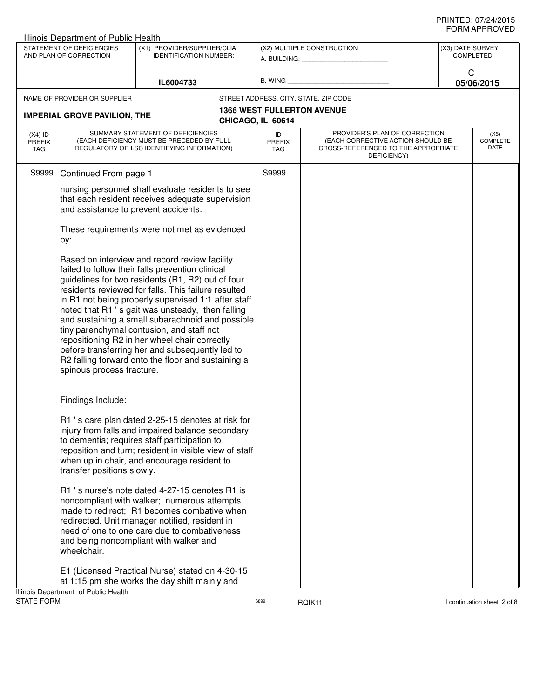|                                                                                                                     | Illinois Department of Public Health            |                                                                                                                                                                                                                                                                                                                                                                                                                                                                                                                                                                                     |                            |                                                                                                                          |                  |                              |
|---------------------------------------------------------------------------------------------------------------------|-------------------------------------------------|-------------------------------------------------------------------------------------------------------------------------------------------------------------------------------------------------------------------------------------------------------------------------------------------------------------------------------------------------------------------------------------------------------------------------------------------------------------------------------------------------------------------------------------------------------------------------------------|----------------------------|--------------------------------------------------------------------------------------------------------------------------|------------------|------------------------------|
| (X1) PROVIDER/SUPPLIER/CLIA<br>STATEMENT OF DEFICIENCIES<br>AND PLAN OF CORRECTION<br><b>IDENTIFICATION NUMBER:</b> |                                                 |                                                                                                                                                                                                                                                                                                                                                                                                                                                                                                                                                                                     |                            | (X2) MULTIPLE CONSTRUCTION<br>A. BUILDING: _____________________                                                         | (X3) DATE SURVEY | <b>COMPLETED</b>             |
|                                                                                                                     |                                                 | IL6004733                                                                                                                                                                                                                                                                                                                                                                                                                                                                                                                                                                           | B. WING                    |                                                                                                                          | C                | 05/06/2015                   |
|                                                                                                                     | NAME OF PROVIDER OR SUPPLIER                    |                                                                                                                                                                                                                                                                                                                                                                                                                                                                                                                                                                                     |                            | STREET ADDRESS, CITY, STATE, ZIP CODE                                                                                    |                  |                              |
|                                                                                                                     |                                                 |                                                                                                                                                                                                                                                                                                                                                                                                                                                                                                                                                                                     |                            | <b>1366 WEST FULLERTON AVENUE</b>                                                                                        |                  |                              |
|                                                                                                                     | <b>IMPERIAL GROVE PAVILION, THE</b>             |                                                                                                                                                                                                                                                                                                                                                                                                                                                                                                                                                                                     | CHICAGO, IL 60614          |                                                                                                                          |                  |                              |
| $(X4)$ ID<br><b>PREFIX</b><br><b>TAG</b>                                                                            |                                                 | SUMMARY STATEMENT OF DEFICIENCIES<br>(EACH DEFICIENCY MUST BE PRECEDED BY FULL<br>REGULATORY OR LSC IDENTIFYING INFORMATION)                                                                                                                                                                                                                                                                                                                                                                                                                                                        | ID<br><b>PREFIX</b><br>TAG | PROVIDER'S PLAN OF CORRECTION<br>(EACH CORRECTIVE ACTION SHOULD BE<br>CROSS-REFERENCED TO THE APPROPRIATE<br>DEFICIENCY) |                  | (X5)<br>COMPLETE<br>DATE     |
| S9999                                                                                                               | Continued From page 1                           |                                                                                                                                                                                                                                                                                                                                                                                                                                                                                                                                                                                     | S9999                      |                                                                                                                          |                  |                              |
|                                                                                                                     | and assistance to prevent accidents.            | nursing personnel shall evaluate residents to see<br>that each resident receives adequate supervision                                                                                                                                                                                                                                                                                                                                                                                                                                                                               |                            |                                                                                                                          |                  |                              |
|                                                                                                                     | by:                                             | These requirements were not met as evidenced                                                                                                                                                                                                                                                                                                                                                                                                                                                                                                                                        |                            |                                                                                                                          |                  |                              |
|                                                                                                                     | spinous process fracture.                       | Based on interview and record review facility<br>failed to follow their falls prevention clinical<br>guidelines for two residents (R1, R2) out of four<br>residents reviewed for falls. This failure resulted<br>in R1 not being properly supervised 1:1 after staff<br>noted that R1 's gait was unsteady, then falling<br>and sustaining a small subarachnoid and possible<br>tiny parenchymal contusion, and staff not<br>repositioning R2 in her wheel chair correctly<br>before transferring her and subsequently led to<br>R2 falling forward onto the floor and sustaining a |                            |                                                                                                                          |                  |                              |
|                                                                                                                     | Findings Include:<br>transfer positions slowly. | R1 's care plan dated 2-25-15 denotes at risk for<br>injury from falls and impaired balance secondary<br>to dementia; requires staff participation to<br>reposition and turn; resident in visible view of staff<br>when up in chair, and encourage resident to                                                                                                                                                                                                                                                                                                                      |                            |                                                                                                                          |                  |                              |
|                                                                                                                     | wheelchair.                                     | R1 's nurse's note dated 4-27-15 denotes R1 is<br>noncompliant with walker; numerous attempts<br>made to redirect; R1 becomes combative when<br>redirected. Unit manager notified, resident in<br>need of one to one care due to combativeness<br>and being noncompliant with walker and                                                                                                                                                                                                                                                                                            |                            |                                                                                                                          |                  |                              |
|                                                                                                                     | Illinois Department of Public Health            | E1 (Licensed Practical Nurse) stated on 4-30-15<br>at 1:15 pm she works the day shift mainly and                                                                                                                                                                                                                                                                                                                                                                                                                                                                                    |                            |                                                                                                                          |                  |                              |
| <b>STATE FORM</b>                                                                                                   |                                                 |                                                                                                                                                                                                                                                                                                                                                                                                                                                                                                                                                                                     | 6899                       | RQIK11                                                                                                                   |                  | If continuation sheet 2 of 8 |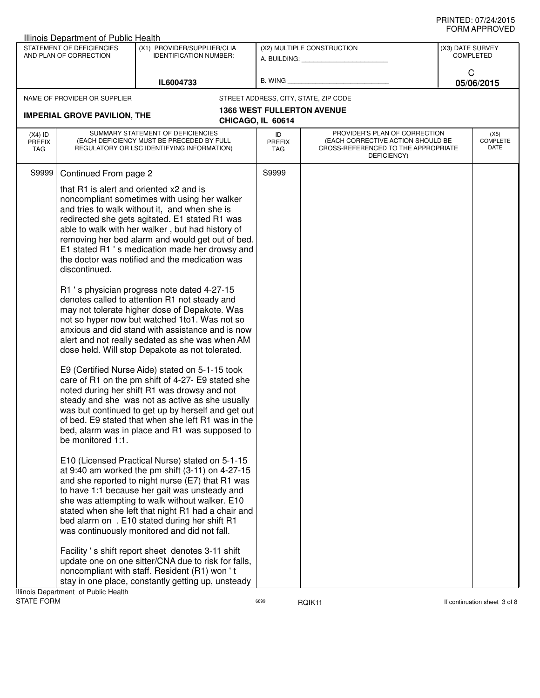|                                          | Illinois Department of Public Health                     |                                                                                                                                                                                                                                                                                                                                                                                                                     |                                   |                                                                                                                          |                  |                                 |
|------------------------------------------|----------------------------------------------------------|---------------------------------------------------------------------------------------------------------------------------------------------------------------------------------------------------------------------------------------------------------------------------------------------------------------------------------------------------------------------------------------------------------------------|-----------------------------------|--------------------------------------------------------------------------------------------------------------------------|------------------|---------------------------------|
|                                          | STATEMENT OF DEFICIENCIES<br>AND PLAN OF CORRECTION      | (X1) PROVIDER/SUPPLIER/CLIA<br><b>IDENTIFICATION NUMBER:</b>                                                                                                                                                                                                                                                                                                                                                        |                                   | (X2) MULTIPLE CONSTRUCTION<br>A. BUILDING: A. BUILDING:                                                                  | (X3) DATE SURVEY | <b>COMPLETED</b>                |
|                                          |                                                          | IL6004733                                                                                                                                                                                                                                                                                                                                                                                                           | B. WING                           |                                                                                                                          | C                | 05/06/2015                      |
|                                          | NAME OF PROVIDER OR SUPPLIER                             |                                                                                                                                                                                                                                                                                                                                                                                                                     |                                   | STREET ADDRESS, CITY, STATE, ZIP CODE                                                                                    |                  |                                 |
|                                          | <b>IMPERIAL GROVE PAVILION, THE</b>                      |                                                                                                                                                                                                                                                                                                                                                                                                                     | <b>1366 WEST FULLERTON AVENUE</b> |                                                                                                                          |                  |                                 |
|                                          |                                                          |                                                                                                                                                                                                                                                                                                                                                                                                                     | CHICAGO, IL 60614                 |                                                                                                                          |                  |                                 |
| $(X4)$ ID<br><b>PREFIX</b><br><b>TAG</b> |                                                          | SUMMARY STATEMENT OF DEFICIENCIES<br>(EACH DEFICIENCY MUST BE PRECEDED BY FULL<br>REGULATORY OR LSC IDENTIFYING INFORMATION)                                                                                                                                                                                                                                                                                        | ID<br><b>PREFIX</b><br>TAG        | PROVIDER'S PLAN OF CORRECTION<br>(EACH CORRECTIVE ACTION SHOULD BE<br>CROSS-REFERENCED TO THE APPROPRIATE<br>DEFICIENCY) |                  | (X5)<br><b>COMPLETE</b><br>DATE |
| S9999                                    | Continued From page 2                                    |                                                                                                                                                                                                                                                                                                                                                                                                                     | S9999                             |                                                                                                                          |                  |                                 |
|                                          | that R1 is alert and oriented x2 and is<br>discontinued. | noncompliant sometimes with using her walker<br>and tries to walk without it, and when she is<br>redirected she gets agitated. E1 stated R1 was<br>able to walk with her walker, but had history of<br>removing her bed alarm and would get out of bed.<br>E1 stated R1 's medication made her drowsy and<br>the doctor was notified and the medication was<br>R1 's physician progress note dated 4-27-15          |                                   |                                                                                                                          |                  |                                 |
|                                          |                                                          | denotes called to attention R1 not steady and<br>may not tolerate higher dose of Depakote. Was<br>not so hyper now but watched 1to1. Was not so<br>anxious and did stand with assistance and is now<br>alert and not really sedated as she was when AM<br>dose held. Will stop Depakote as not tolerated.                                                                                                           |                                   |                                                                                                                          |                  |                                 |
|                                          | be monitored 1:1.                                        | E9 (Certified Nurse Aide) stated on 5-1-15 took<br>care of R1 on the pm shift of 4-27- E9 stated she<br>noted during her shift R1 was drowsy and not<br>steady and she was not as active as she usually<br>was but continued to get up by herself and get out<br>of bed. E9 stated that when she left R1 was in the<br>bed, alarm was in place and R1 was supposed to                                               |                                   |                                                                                                                          |                  |                                 |
|                                          |                                                          | E10 (Licensed Practical Nurse) stated on 5-1-15<br>at 9:40 am worked the pm shift $(3-11)$ on 4-27-15<br>and she reported to night nurse (E7) that R1 was<br>to have 1:1 because her gait was unsteady and<br>she was attempting to walk without walker. E10<br>stated when she left that night R1 had a chair and<br>bed alarm on . E10 stated during her shift R1<br>was continuously monitored and did not fall. |                                   |                                                                                                                          |                  |                                 |
|                                          | Illinois Department of Public Health                     | Facility's shift report sheet denotes 3-11 shift<br>update one on one sitter/CNA due to risk for falls,<br>noncompliant with staff. Resident (R1) won't<br>stay in one place, constantly getting up, unsteady                                                                                                                                                                                                       |                                   |                                                                                                                          |                  |                                 |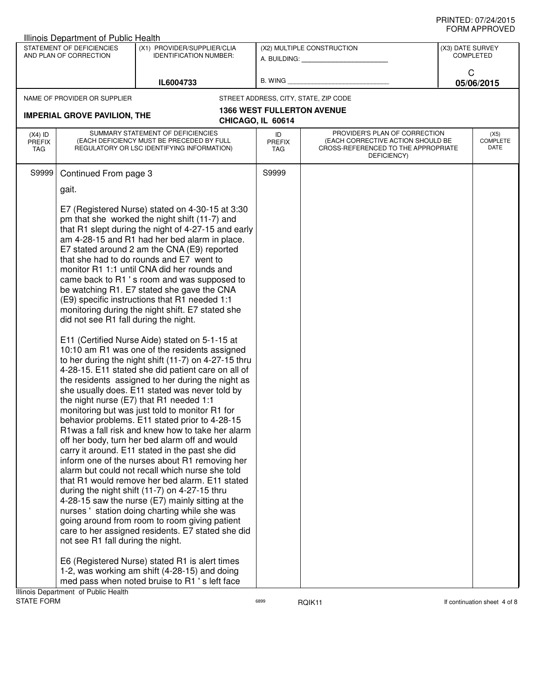|                                   | <b>Illinois Department of Public Health</b>         |                                                                                                                                                                                                                                                                                                                                                                                                                                                                                                                                                                                                                                                                                                                                                                                                                                                                                                                                                                                                                                                                                                  |                                                                |                                                                                                                          |                                      |                                 |
|-----------------------------------|-----------------------------------------------------|--------------------------------------------------------------------------------------------------------------------------------------------------------------------------------------------------------------------------------------------------------------------------------------------------------------------------------------------------------------------------------------------------------------------------------------------------------------------------------------------------------------------------------------------------------------------------------------------------------------------------------------------------------------------------------------------------------------------------------------------------------------------------------------------------------------------------------------------------------------------------------------------------------------------------------------------------------------------------------------------------------------------------------------------------------------------------------------------------|----------------------------------------------------------------|--------------------------------------------------------------------------------------------------------------------------|--------------------------------------|---------------------------------|
|                                   | STATEMENT OF DEFICIENCIES<br>AND PLAN OF CORRECTION | (X1) PROVIDER/SUPPLIER/CLIA<br><b>IDENTIFICATION NUMBER:</b>                                                                                                                                                                                                                                                                                                                                                                                                                                                                                                                                                                                                                                                                                                                                                                                                                                                                                                                                                                                                                                     | (X2) MULTIPLE CONSTRUCTION<br>A. BUILDING: <b>A. BUILDING:</b> |                                                                                                                          | (X3) DATE SURVEY<br><b>COMPLETED</b> |                                 |
| IL6004733                         |                                                     | B. WING                                                                                                                                                                                                                                                                                                                                                                                                                                                                                                                                                                                                                                                                                                                                                                                                                                                                                                                                                                                                                                                                                          |                                                                | C<br>05/06/2015                                                                                                          |                                      |                                 |
|                                   | NAME OF PROVIDER OR SUPPLIER                        |                                                                                                                                                                                                                                                                                                                                                                                                                                                                                                                                                                                                                                                                                                                                                                                                                                                                                                                                                                                                                                                                                                  |                                                                | STREET ADDRESS, CITY, STATE, ZIP CODE                                                                                    |                                      |                                 |
|                                   |                                                     |                                                                                                                                                                                                                                                                                                                                                                                                                                                                                                                                                                                                                                                                                                                                                                                                                                                                                                                                                                                                                                                                                                  |                                                                | <b>1366 WEST FULLERTON AVENUE</b>                                                                                        |                                      |                                 |
|                                   | <b>IMPERIAL GROVE PAVILION, THE</b>                 |                                                                                                                                                                                                                                                                                                                                                                                                                                                                                                                                                                                                                                                                                                                                                                                                                                                                                                                                                                                                                                                                                                  | CHICAGO, IL 60614                                              |                                                                                                                          |                                      |                                 |
| $(X4)$ ID<br><b>PREFIX</b><br>TAG |                                                     | SUMMARY STATEMENT OF DEFICIENCIES<br>(EACH DEFICIENCY MUST BE PRECEDED BY FULL<br>REGULATORY OR LSC IDENTIFYING INFORMATION)                                                                                                                                                                                                                                                                                                                                                                                                                                                                                                                                                                                                                                                                                                                                                                                                                                                                                                                                                                     | ID<br><b>PREFIX</b><br>TAG                                     | PROVIDER'S PLAN OF CORRECTION<br>(EACH CORRECTIVE ACTION SHOULD BE<br>CROSS-REFERENCED TO THE APPROPRIATE<br>DEFICIENCY) |                                      | (X5)<br><b>COMPLETE</b><br>DATE |
| S9999                             | Continued From page 3<br>gait.                      | E7 (Registered Nurse) stated on 4-30-15 at 3:30<br>pm that she worked the night shift (11-7) and                                                                                                                                                                                                                                                                                                                                                                                                                                                                                                                                                                                                                                                                                                                                                                                                                                                                                                                                                                                                 | S9999                                                          |                                                                                                                          |                                      |                                 |
|                                   | did not see R1 fall during the night.               | that R1 slept during the night of 4-27-15 and early<br>am 4-28-15 and R1 had her bed alarm in place.<br>E7 stated around 2 am the CNA (E9) reported<br>that she had to do rounds and E7 went to<br>monitor R1 1:1 until CNA did her rounds and<br>came back to R1's room and was supposed to<br>be watching R1. E7 stated she gave the CNA<br>(E9) specific instructions that R1 needed 1:1<br>monitoring during the night shift. E7 stated she                                                                                                                                                                                                                                                                                                                                                                                                                                                                                                                                                                                                                                                  |                                                                |                                                                                                                          |                                      |                                 |
|                                   | not see R1 fall during the night.                   | E11 (Certified Nurse Aide) stated on 5-1-15 at<br>10:10 am R1 was one of the residents assigned<br>to her during the night shift (11-7) on 4-27-15 thru<br>4-28-15. E11 stated she did patient care on all of<br>the residents assigned to her during the night as<br>she usually does. E11 stated was never told by<br>the night nurse (E7) that R1 needed 1:1<br>monitoring but was just told to monitor R1 for<br>behavior problems. E11 stated prior to 4-28-15<br>R1was a fall risk and knew how to take her alarm<br>off her body, turn her bed alarm off and would<br>carry it around. E11 stated in the past she did<br>inform one of the nurses about R1 removing her<br>alarm but could not recall which nurse she told<br>that R1 would remove her bed alarm. E11 stated<br>during the night shift (11-7) on 4-27-15 thru<br>4-28-15 saw the nurse (E7) mainly sitting at the<br>nurses 'station doing charting while she was<br>going around from room to room giving patient<br>care to her assigned residents. E7 stated she did<br>E6 (Registered Nurse) stated R1 is alert times |                                                                |                                                                                                                          |                                      |                                 |
|                                   | Illinois Department of Public Health                | 1-2, was working am shift (4-28-15) and doing<br>med pass when noted bruise to R1 's left face                                                                                                                                                                                                                                                                                                                                                                                                                                                                                                                                                                                                                                                                                                                                                                                                                                                                                                                                                                                                   |                                                                |                                                                                                                          |                                      |                                 |
| <b>STATE FORM</b>                 |                                                     |                                                                                                                                                                                                                                                                                                                                                                                                                                                                                                                                                                                                                                                                                                                                                                                                                                                                                                                                                                                                                                                                                                  | 6899                                                           | RQIK11                                                                                                                   |                                      | If continuation sheet 4 of 8    |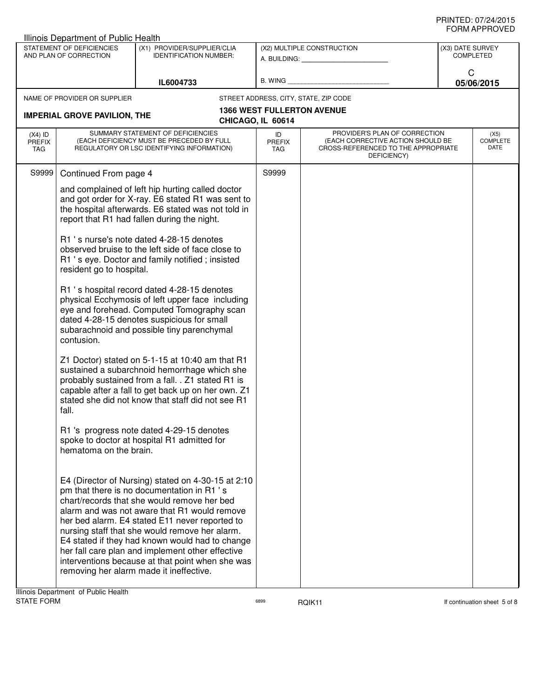|                                          | Illinois Department of Public Health                                                               |                                                                                                                                                                                                                                                                                                                                                                                                                                                                                                                                                                                                                                                                                                                                                                                                                                                                                                                                                                                                                                                                                                                                                                                                                                                                                                                                                                                                                                                                                         |                                   |                                                                                                                          |                  |                                        |
|------------------------------------------|----------------------------------------------------------------------------------------------------|-----------------------------------------------------------------------------------------------------------------------------------------------------------------------------------------------------------------------------------------------------------------------------------------------------------------------------------------------------------------------------------------------------------------------------------------------------------------------------------------------------------------------------------------------------------------------------------------------------------------------------------------------------------------------------------------------------------------------------------------------------------------------------------------------------------------------------------------------------------------------------------------------------------------------------------------------------------------------------------------------------------------------------------------------------------------------------------------------------------------------------------------------------------------------------------------------------------------------------------------------------------------------------------------------------------------------------------------------------------------------------------------------------------------------------------------------------------------------------------------|-----------------------------------|--------------------------------------------------------------------------------------------------------------------------|------------------|----------------------------------------|
|                                          | STATEMENT OF DEFICIENCIES<br>AND PLAN OF CORRECTION                                                | (X1) PROVIDER/SUPPLIER/CLIA<br><b>IDENTIFICATION NUMBER:</b>                                                                                                                                                                                                                                                                                                                                                                                                                                                                                                                                                                                                                                                                                                                                                                                                                                                                                                                                                                                                                                                                                                                                                                                                                                                                                                                                                                                                                            |                                   | (X2) MULTIPLE CONSTRUCTION<br>A. BUILDING: A. BUILDING:                                                                  | (X3) DATE SURVEY | <b>COMPLETED</b>                       |
|                                          |                                                                                                    | IL6004733                                                                                                                                                                                                                                                                                                                                                                                                                                                                                                                                                                                                                                                                                                                                                                                                                                                                                                                                                                                                                                                                                                                                                                                                                                                                                                                                                                                                                                                                               | B. WING                           |                                                                                                                          | C                | 05/06/2015                             |
|                                          | NAME OF PROVIDER OR SUPPLIER<br><b>IMPERIAL GROVE PAVILION, THE</b>                                |                                                                                                                                                                                                                                                                                                                                                                                                                                                                                                                                                                                                                                                                                                                                                                                                                                                                                                                                                                                                                                                                                                                                                                                                                                                                                                                                                                                                                                                                                         | CHICAGO, IL 60614                 | STREET ADDRESS, CITY, STATE, ZIP CODE<br><b>1366 WEST FULLERTON AVENUE</b>                                               |                  |                                        |
| $(X4)$ ID<br><b>PREFIX</b><br><b>TAG</b> |                                                                                                    | SUMMARY STATEMENT OF DEFICIENCIES<br>(EACH DEFICIENCY MUST BE PRECEDED BY FULL<br>REGULATORY OR LSC IDENTIFYING INFORMATION)                                                                                                                                                                                                                                                                                                                                                                                                                                                                                                                                                                                                                                                                                                                                                                                                                                                                                                                                                                                                                                                                                                                                                                                                                                                                                                                                                            | ID<br><b>PREFIX</b><br><b>TAG</b> | PROVIDER'S PLAN OF CORRECTION<br>(EACH CORRECTIVE ACTION SHOULD BE<br>CROSS-REFERENCED TO THE APPROPRIATE<br>DEFICIENCY) |                  | (X5)<br><b>COMPLETE</b><br><b>DATE</b> |
| S9999                                    | Continued From page 4<br>resident go to hospital.<br>contusion.<br>fall.<br>hematoma on the brain. | and complained of left hip hurting called doctor<br>and got order for X-ray. E6 stated R1 was sent to<br>the hospital afterwards. E6 stated was not told in<br>report that R1 had fallen during the night.<br>R1 's nurse's note dated 4-28-15 denotes<br>observed bruise to the left side of face close to<br>R1 's eye. Doctor and family notified; insisted<br>R1 's hospital record dated 4-28-15 denotes<br>physical Ecchymosis of left upper face including<br>eye and forehead. Computed Tomography scan<br>dated 4-28-15 denotes suspicious for small<br>subarachnoid and possible tiny parenchymal<br>Z1 Doctor) stated on 5-1-15 at 10:40 am that R1<br>sustained a subarchnoid hemorrhage which she<br>probably sustained from a fall. . Z1 stated R1 is<br>capable after a fall to get back up on her own. Z1<br>stated she did not know that staff did not see R1<br>R1 's progress note dated 4-29-15 denotes<br>spoke to doctor at hospital R1 admitted for<br>E4 (Director of Nursing) stated on 4-30-15 at 2:10<br>pm that there is no documentation in R1 's<br>chart/records that she would remove her bed<br>alarm and was not aware that R1 would remove<br>her bed alarm. E4 stated E11 never reported to<br>nursing staff that she would remove her alarm.<br>E4 stated if they had known would had to change<br>her fall care plan and implement other effective<br>interventions because at that point when she was<br>removing her alarm made it ineffective. | S9999                             |                                                                                                                          |                  |                                        |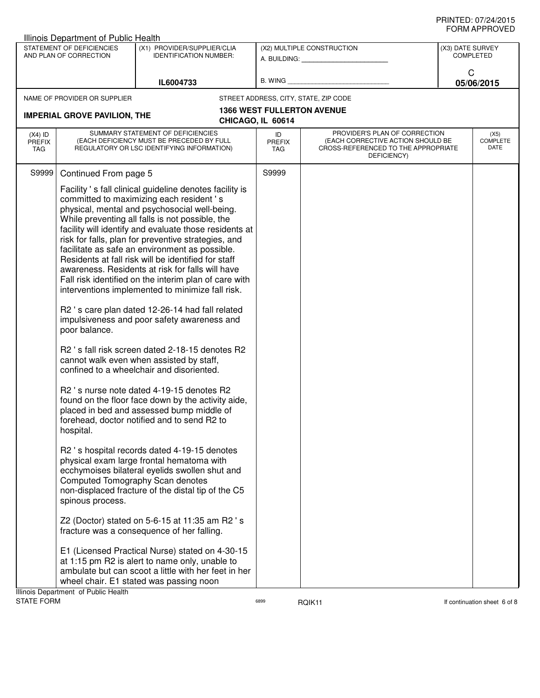|                                   | Illinois Department of Public Health                                  |                                                                                                                                                                                                                                                                                                                                                                                                                                                                                                                                                                                                                                                                                                                                                                                                                                                                                                                                                    |                                                        |                                                                                                                          |                  |                          |
|-----------------------------------|-----------------------------------------------------------------------|----------------------------------------------------------------------------------------------------------------------------------------------------------------------------------------------------------------------------------------------------------------------------------------------------------------------------------------------------------------------------------------------------------------------------------------------------------------------------------------------------------------------------------------------------------------------------------------------------------------------------------------------------------------------------------------------------------------------------------------------------------------------------------------------------------------------------------------------------------------------------------------------------------------------------------------------------|--------------------------------------------------------|--------------------------------------------------------------------------------------------------------------------------|------------------|--------------------------|
|                                   | STATEMENT OF DEFICIENCIES<br>AND PLAN OF CORRECTION                   | (X1) PROVIDER/SUPPLIER/CLIA<br><b>IDENTIFICATION NUMBER:</b>                                                                                                                                                                                                                                                                                                                                                                                                                                                                                                                                                                                                                                                                                                                                                                                                                                                                                       |                                                        | (X2) MULTIPLE CONSTRUCTION<br>A. BUILDING: <b>A. BUILDING:</b>                                                           | (X3) DATE SURVEY | <b>COMPLETED</b>         |
|                                   |                                                                       | IL6004733                                                                                                                                                                                                                                                                                                                                                                                                                                                                                                                                                                                                                                                                                                                                                                                                                                                                                                                                          | B. WING                                                |                                                                                                                          | C                | 05/06/2015               |
|                                   |                                                                       |                                                                                                                                                                                                                                                                                                                                                                                                                                                                                                                                                                                                                                                                                                                                                                                                                                                                                                                                                    |                                                        |                                                                                                                          |                  |                          |
|                                   | NAME OF PROVIDER OR SUPPLIER                                          |                                                                                                                                                                                                                                                                                                                                                                                                                                                                                                                                                                                                                                                                                                                                                                                                                                                                                                                                                    |                                                        | STREET ADDRESS, CITY, STATE, ZIP CODE                                                                                    |                  |                          |
|                                   | <b>IMPERIAL GROVE PAVILION, THE</b>                                   |                                                                                                                                                                                                                                                                                                                                                                                                                                                                                                                                                                                                                                                                                                                                                                                                                                                                                                                                                    | <b>1366 WEST FULLERTON AVENUE</b><br>CHICAGO, IL 60614 |                                                                                                                          |                  |                          |
| $(X4)$ ID<br><b>PREFIX</b><br>TAG |                                                                       | SUMMARY STATEMENT OF DEFICIENCIES<br>(EACH DEFICIENCY MUST BE PRECEDED BY FULL<br>REGULATORY OR LSC IDENTIFYING INFORMATION)                                                                                                                                                                                                                                                                                                                                                                                                                                                                                                                                                                                                                                                                                                                                                                                                                       | ID<br><b>PREFIX</b><br>TAG                             | PROVIDER'S PLAN OF CORRECTION<br>(EACH CORRECTIVE ACTION SHOULD BE<br>CROSS-REFERENCED TO THE APPROPRIATE<br>DEFICIENCY) |                  | (X5)<br>COMPLETE<br>DATE |
| S9999                             | Continued From page 5<br>poor balance.                                | Facility 's fall clinical guideline denotes facility is<br>committed to maximizing each resident's<br>physical, mental and psychosocial well-being.<br>While preventing all falls is not possible, the<br>facility will identify and evaluate those residents at<br>risk for falls, plan for preventive strategies, and<br>facilitate as safe an environment as possible.<br>Residents at fall risk will be identified for staff<br>awareness. Residents at risk for falls will have<br>Fall risk identified on the interim plan of care with<br>interventions implemented to minimize fall risk.<br>R2 's care plan dated 12-26-14 had fall related<br>impulsiveness and poor safety awareness and<br>R2 's fall risk screen dated 2-18-15 denotes R2<br>cannot walk even when assisted by staff,<br>confined to a wheelchair and disoriented.<br>R2 's nurse note dated 4-19-15 denotes R2<br>found on the floor face down by the activity aide, | S9999                                                  |                                                                                                                          |                  |                          |
|                                   | hospital.<br>spinous process.<br>Illinois Department of Public Health | placed in bed and assessed bump middle of<br>forehead, doctor notified and to send R2 to<br>R2 's hospital records dated 4-19-15 denotes<br>physical exam large frontal hematoma with<br>ecchymoises bilateral eyelids swollen shut and<br>Computed Tomography Scan denotes<br>non-displaced fracture of the distal tip of the C5<br>Z2 (Doctor) stated on 5-6-15 at 11:35 am R2 's<br>fracture was a consequence of her falling.<br>E1 (Licensed Practical Nurse) stated on 4-30-15<br>at 1:15 pm R2 is alert to name only, unable to<br>ambulate but can scoot a little with her feet in her<br>wheel chair. E1 stated was passing noon                                                                                                                                                                                                                                                                                                          |                                                        |                                                                                                                          |                  |                          |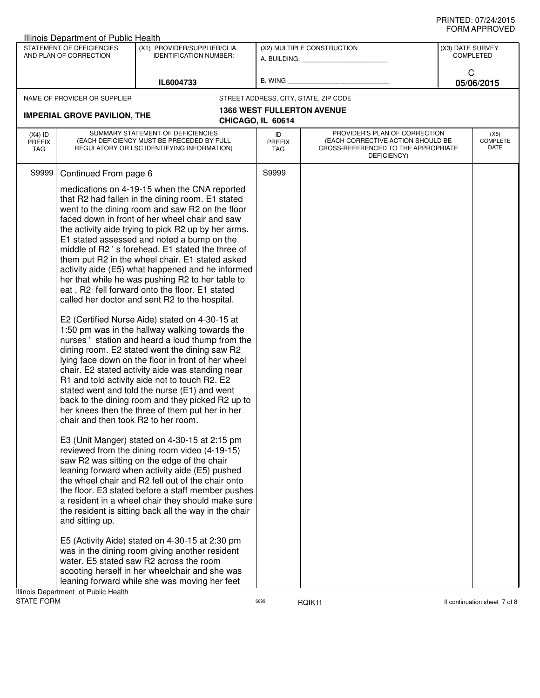| STATEMENT OF DEFICIENCIES<br>(X2) MULTIPLE CONSTRUCTION<br>(X1) PROVIDER/SUPPLIER/CLIA<br>(X3) DATE SURVEY<br><b>COMPLETED</b><br>AND PLAN OF CORRECTION<br><b>IDENTIFICATION NUMBER:</b><br>A. BUILDING: A.<br>C<br><b>B. WING</b><br>05/06/2015<br>IL6004733<br>STREET ADDRESS, CITY, STATE, ZIP CODE<br>NAME OF PROVIDER OR SUPPLIER<br><b>1366 WEST FULLERTON AVENUE</b><br><b>IMPERIAL GROVE PAVILION, THE</b><br>CHICAGO, IL 60614<br>SUMMARY STATEMENT OF DEFICIENCIES<br>PROVIDER'S PLAN OF CORRECTION<br>$(X4)$ ID<br>ID<br>(X5)<br><b>COMPLETE</b><br>(EACH DEFICIENCY MUST BE PRECEDED BY FULL<br>(EACH CORRECTIVE ACTION SHOULD BE<br><b>PREFIX</b><br><b>PREFIX</b><br>DATE<br>REGULATORY OR LSC IDENTIFYING INFORMATION)<br>CROSS-REFERENCED TO THE APPROPRIATE<br>TAG<br>TAG<br>DEFICIENCY)<br>S9999<br>S9999<br>Continued From page 6<br>medications on 4-19-15 when the CNA reported<br>that R2 had fallen in the dining room. E1 stated<br>went to the dining room and saw R2 on the floor<br>faced down in front of her wheel chair and saw<br>the activity aide trying to pick R2 up by her arms.<br>E1 stated assessed and noted a bump on the<br>middle of R2's forehead. E1 stated the three of<br>them put R2 in the wheel chair. E1 stated asked<br>activity aide (E5) what happened and he informed<br>her that while he was pushing R2 to her table to<br>eat, R2 fell forward onto the floor. E1 stated<br>called her doctor and sent R2 to the hospital. |  |
|---------------------------------------------------------------------------------------------------------------------------------------------------------------------------------------------------------------------------------------------------------------------------------------------------------------------------------------------------------------------------------------------------------------------------------------------------------------------------------------------------------------------------------------------------------------------------------------------------------------------------------------------------------------------------------------------------------------------------------------------------------------------------------------------------------------------------------------------------------------------------------------------------------------------------------------------------------------------------------------------------------------------------------------------------------------------------------------------------------------------------------------------------------------------------------------------------------------------------------------------------------------------------------------------------------------------------------------------------------------------------------------------------------------------------------------------------------------------------------------|--|
|                                                                                                                                                                                                                                                                                                                                                                                                                                                                                                                                                                                                                                                                                                                                                                                                                                                                                                                                                                                                                                                                                                                                                                                                                                                                                                                                                                                                                                                                                       |  |
|                                                                                                                                                                                                                                                                                                                                                                                                                                                                                                                                                                                                                                                                                                                                                                                                                                                                                                                                                                                                                                                                                                                                                                                                                                                                                                                                                                                                                                                                                       |  |
|                                                                                                                                                                                                                                                                                                                                                                                                                                                                                                                                                                                                                                                                                                                                                                                                                                                                                                                                                                                                                                                                                                                                                                                                                                                                                                                                                                                                                                                                                       |  |
|                                                                                                                                                                                                                                                                                                                                                                                                                                                                                                                                                                                                                                                                                                                                                                                                                                                                                                                                                                                                                                                                                                                                                                                                                                                                                                                                                                                                                                                                                       |  |
|                                                                                                                                                                                                                                                                                                                                                                                                                                                                                                                                                                                                                                                                                                                                                                                                                                                                                                                                                                                                                                                                                                                                                                                                                                                                                                                                                                                                                                                                                       |  |
|                                                                                                                                                                                                                                                                                                                                                                                                                                                                                                                                                                                                                                                                                                                                                                                                                                                                                                                                                                                                                                                                                                                                                                                                                                                                                                                                                                                                                                                                                       |  |
| E2 (Certified Nurse Aide) stated on 4-30-15 at<br>1:50 pm was in the hallway walking towards the<br>nurses ' station and heard a loud thump from the<br>dining room. E2 stated went the dining saw R2<br>lying face down on the floor in front of her wheel<br>chair. E2 stated activity aide was standing near<br>R1 and told activity aide not to touch R2. E2<br>stated went and told the nurse (E1) and went<br>back to the dining room and they picked R2 up to<br>her knees then the three of them put her in her<br>chair and then took R2 to her room.<br>E3 (Unit Manger) stated on 4-30-15 at 2:15 pm<br>reviewed from the dining room video (4-19-15)<br>saw R2 was sitting on the edge of the chair<br>leaning forward when activity aide (E5) pushed<br>the wheel chair and R2 fell out of the chair onto<br>the floor. E3 stated before a staff member pushes<br>a resident in a wheel chair they should make sure<br>the resident is sitting back all the way in the chair<br>and sitting up.<br>E5 (Activity Aide) stated on 4-30-15 at 2:30 pm<br>was in the dining room giving another resident<br>water. E5 stated saw R2 across the room<br>scooting herself in her wheelchair and she was                                                                                                                                                                                                                                                                        |  |
| leaning forward while she was moving her feet<br>Illinois Department of Public Health                                                                                                                                                                                                                                                                                                                                                                                                                                                                                                                                                                                                                                                                                                                                                                                                                                                                                                                                                                                                                                                                                                                                                                                                                                                                                                                                                                                                 |  |